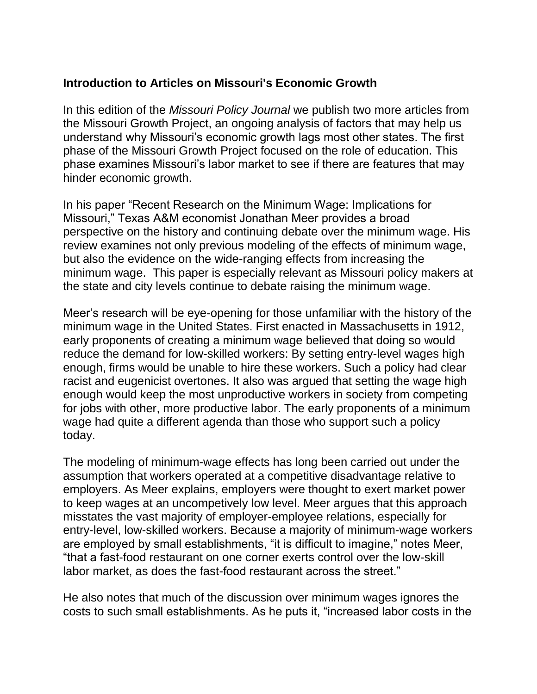## **Introduction to Articles on Missouri's Economic Growth**

In this edition of the *Missouri Policy Journal* we publish two more articles from the Missouri Growth Project, an ongoing analysis of factors that may help us understand why Missouri's economic growth lags most other states. The first phase of the Missouri Growth Project focused on the role of education. This phase examines Missouri's labor market to see if there are features that may hinder economic growth.

In his paper "Recent Research on the Minimum Wage: Implications for Missouri," Texas A&M economist Jonathan Meer provides a broad perspective on the history and continuing debate over the minimum wage. His review examines not only previous modeling of the effects of minimum wage, but also the evidence on the wide-ranging effects from increasing the minimum wage. This paper is especially relevant as Missouri policy makers at the state and city levels continue to debate raising the minimum wage.

Meer's research will be eye-opening for those unfamiliar with the history of the minimum wage in the United States. First enacted in Massachusetts in 1912, early proponents of creating a minimum wage believed that doing so would reduce the demand for low-skilled workers: By setting entry-level wages high enough, firms would be unable to hire these workers. Such a policy had clear racist and eugenicist overtones. It also was argued that setting the wage high enough would keep the most unproductive workers in society from competing for jobs with other, more productive labor. The early proponents of a minimum wage had quite a different agenda than those who support such a policy today.

The modeling of minimum-wage effects has long been carried out under the assumption that workers operated at a competitive disadvantage relative to employers. As Meer explains, employers were thought to exert market power to keep wages at an uncompetively low level. Meer argues that this approach misstates the vast majority of employer-employee relations, especially for entry-level, low-skilled workers. Because a majority of minimum-wage workers are employed by small establishments, "it is difficult to imagine," notes Meer, "that a fast-food restaurant on one corner exerts control over the low-skill labor market, as does the fast-food restaurant across the street."

He also notes that much of the discussion over minimum wages ignores the costs to such small establishments. As he puts it, "increased labor costs in the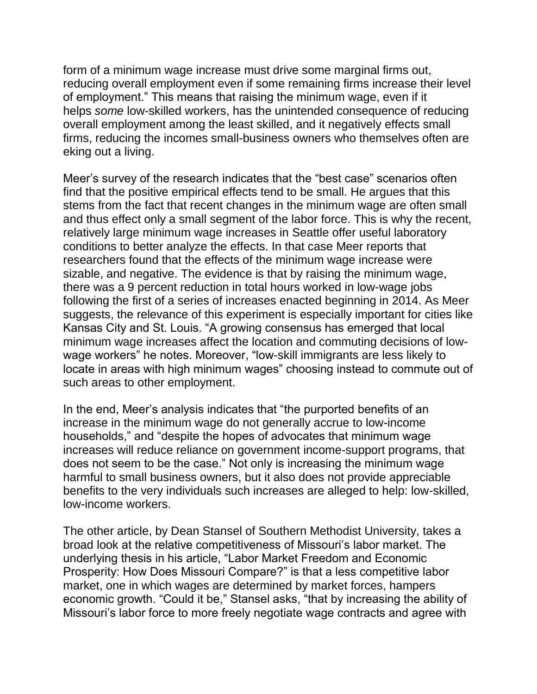form of a minimum wage increase must drive some marginal firms out, reducing overall employment even if some remaining firms increase their level of employment." This means that raising the minimum wage, even if it helps *some* low-skilled workers, has the unintended consequence of reducing overall employment among the least skilled, and it negatively effects small firms, reducing the incomes small-business owners who themselves often are eking out a living.

Meer's survey of the research indicates that the "best case" scenarios often find that the positive empirical effects tend to be small. He argues that this stems from the fact that recent changes in the minimum wage are often small and thus effect only a small segment of the labor force. This is why the recent, relatively large minimum wage increases in Seattle offer useful laboratory conditions to better analyze the effects. In that case Meer reports that researchers found that the effects of the minimum wage increase were sizable, and negative. The evidence is that by raising the minimum wage, there was a 9 percent reduction in total hours worked in low-wage jobs following the first of a series of increases enacted beginning in 2014. As Meer suggests, the relevance of this experiment is especially important for cities like Kansas City and St. Louis. "A growing consensus has emerged that local minimum wage increases affect the location and commuting decisions of lowwage workers" he notes. Moreover, "low-skill immigrants are less likely to locate in areas with high minimum wages" choosing instead to commute out of such areas to other employment.

In the end, Meer's analysis indicates that "the purported benefits of an increase in the minimum wage do not generally accrue to low-income households," and "despite the hopes of advocates that minimum wage increases will reduce reliance on government income-support programs, that does not seem to be the case." Not only is increasing the minimum wage harmful to small business owners, but it also does not provide appreciable benefits to the very individuals such increases are alleged to help: low-skilled, low-income workers.

The other article, by Dean Stansel of Southern Methodist University, takes a broad look at the relative competitiveness of Missouri's labor market. The underlying thesis in his article, "Labor Market Freedom and Economic Prosperity: How Does Missouri Compare?" is that a less competitive labor market, one in which wages are determined by market forces, hampers economic growth. "Could it be," Stansel asks, "that by increasing the ability of Missouri's labor force to more freely negotiate wage contracts and agree with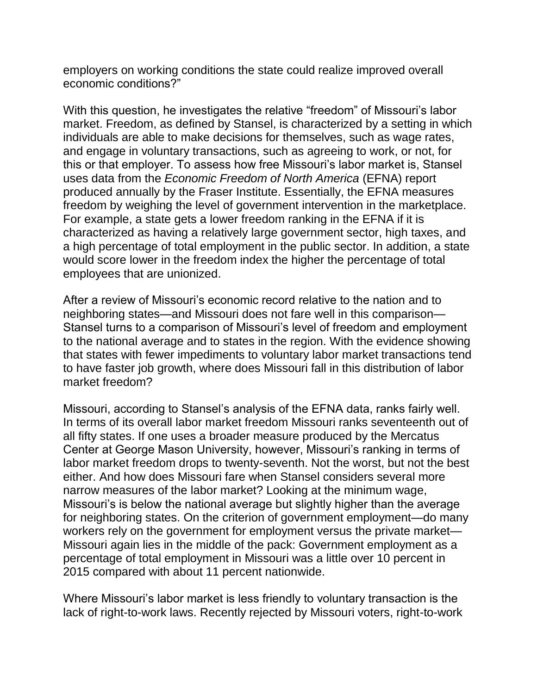employers on working conditions the state could realize improved overall economic conditions?"

With this question, he investigates the relative "freedom" of Missouri's labor market. Freedom, as defined by Stansel, is characterized by a setting in which individuals are able to make decisions for themselves, such as wage rates, and engage in voluntary transactions, such as agreeing to work, or not, for this or that employer. To assess how free Missouri's labor market is, Stansel uses data from the *Economic Freedom of North America* (EFNA) report produced annually by the Fraser Institute. Essentially, the EFNA measures freedom by weighing the level of government intervention in the marketplace. For example, a state gets a lower freedom ranking in the EFNA if it is characterized as having a relatively large government sector, high taxes, and a high percentage of total employment in the public sector. In addition, a state would score lower in the freedom index the higher the percentage of total employees that are unionized.

After a review of Missouri's economic record relative to the nation and to neighboring states—and Missouri does not fare well in this comparison— Stansel turns to a comparison of Missouri's level of freedom and employment to the national average and to states in the region. With the evidence showing that states with fewer impediments to voluntary labor market transactions tend to have faster job growth, where does Missouri fall in this distribution of labor market freedom?

Missouri, according to Stansel's analysis of the EFNA data, ranks fairly well. In terms of its overall labor market freedom Missouri ranks seventeenth out of all fifty states. If one uses a broader measure produced by the Mercatus Center at George Mason University, however, Missouri's ranking in terms of labor market freedom drops to twenty-seventh. Not the worst, but not the best either. And how does Missouri fare when Stansel considers several more narrow measures of the labor market? Looking at the minimum wage, Missouri's is below the national average but slightly higher than the average for neighboring states. On the criterion of government employment—do many workers rely on the government for employment versus the private market— Missouri again lies in the middle of the pack: Government employment as a percentage of total employment in Missouri was a little over 10 percent in 2015 compared with about 11 percent nationwide.

Where Missouri's labor market is less friendly to voluntary transaction is the lack of right-to-work laws. Recently rejected by Missouri voters, right-to-work